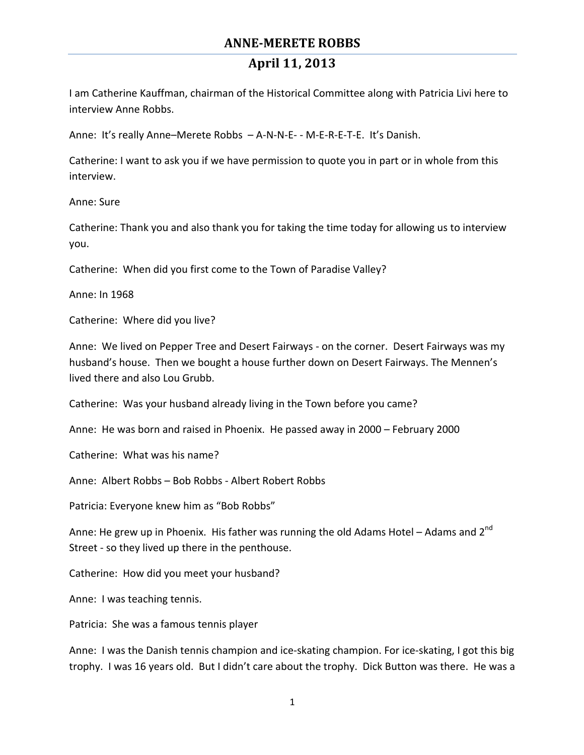## April 11, 2013

I am Catherine Kauffman, chairman of the Historical Committee along with Patricia Livi here to interview Anne Robbs.

Anne: It's really Anne–Merete Robbs - A-N-N-E- - M-E-R-E-T-E. It's Danish.

Catherine: I want to ask you if we have permission to quote you in part or in whole from this interview.

Anne: Sure

Catherine: Thank you and also thank you for taking the time today for allowing us to interview you.

Catherine: When did you first come to the Town of Paradise Valley?

Anne: In 1968

Catherine: Where did you live?

Anne: We lived on Pepper Tree and Desert Fairways - on the corner. Desert Fairways was my husband's house. Then we bought a house further down on Desert Fairways. The Mennen's lived there and also Lou Grubb.

Catherine: Was your husband already living in the Town before you came?

Anne: He was born and raised in Phoenix. He passed away in 2000 – February 2000

Catherine: What was his name?

Anne: Albert Robbs – Bob Robbs - Albert Robert Robbs

Patricia: Everyone knew him as "Bob Robbs"

Anne: He grew up in Phoenix. His father was running the old Adams Hotel – Adams and  $2^{nd}$ Street - so they lived up there in the penthouse.

Catherine: How did you meet your husband?

Anne: I was teaching tennis.

Patricia: She was a famous tennis player

Anne: I was the Danish tennis champion and ice-skating champion. For ice-skating, I got this big trophy. I was 16 years old. But I didn't care about the trophy. Dick Button was there. He was a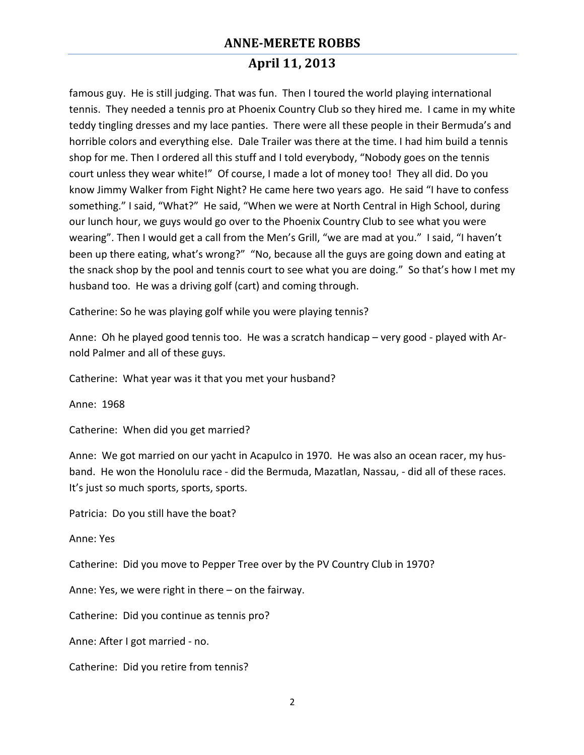# **April 11, 2013**

famous guy. He is still judging. That was fun. Then I toured the world playing international tennis. They needed a tennis pro at Phoenix Country Club so they hired me. I came in my white teddy tingling dresses and my lace panties. There were all these people in their Bermuda's and horrible colors and everything else. Dale Trailer was there at the time. I had him build a tennis shop for me. Then I ordered all this stuff and I told everybody, "Nobody goes on the tennis court unless they wear white!" Of course, I made a lot of money too! They all did. Do you know Jimmy Walker from Fight Night? He came here two years ago. He said "I have to confess something." I said, "What?" He said, "When we were at North Central in High School, during our lunch hour, we guys would go over to the Phoenix Country Club to see what you were wearing". Then I would get a call from the Men's Grill, "we are mad at you." I said, "I haven't been up there eating, what's wrong?" "No, because all the guys are going down and eating at the snack shop by the pool and tennis court to see what you are doing." So that's how I met my husband too. He was a driving golf (cart) and coming through.

Catherine: So he was playing golf while you were playing tennis?

Anne: Oh he played good tennis too. He was a scratch handicap – very good - played with Arnold Palmer and all of these guys.

Catherine: What year was it that you met your husband?

Anne: 1968

Catherine: When did you get married?

Anne: We got married on our yacht in Acapulco in 1970. He was also an ocean racer, my husband. He won the Honolulu race - did the Bermuda, Mazatlan, Nassau, - did all of these races. It's just so much sports, sports, sports.

Patricia: Do you still have the boat?

Anne: Yes

Catherine: Did you move to Pepper Tree over by the PV Country Club in 1970?

Anne: Yes, we were right in there  $-$  on the fairway.

Catherine: Did you continue as tennis pro?

Anne: After I got married - no.

Catherine: Did you retire from tennis?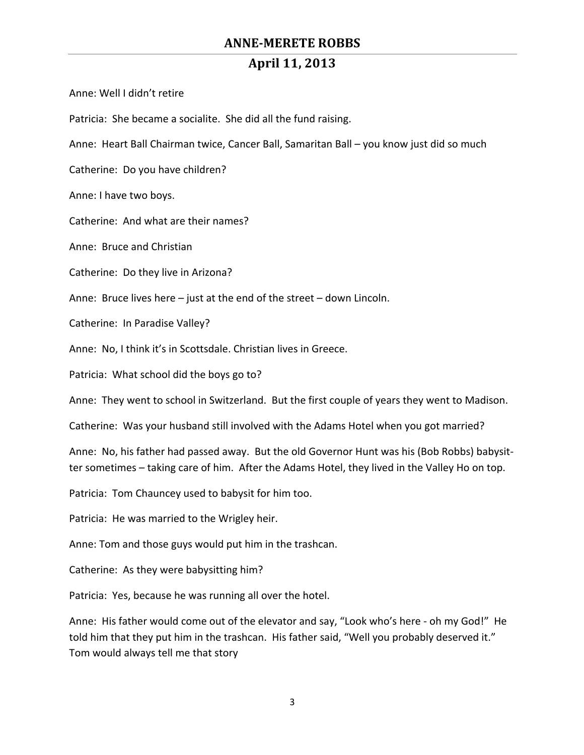## **April 11, 2013**

Anne: Well I didn't retire

Patricia: She became a socialite. She did all the fund raising.

Anne: Heart Ball Chairman twice, Cancer Ball, Samaritan Ball – you know just did so much

Catherine: Do you have children?

Anne: I have two boys.

Catherine: And what are their names?

Anne: Bruce and Christian

Catherine: Do they live in Arizona?

Anne: Bruce lives here  $-$  just at the end of the street  $-$  down Lincoln.

Catherine: In Paradise Valley?

Anne: No, I think it's in Scottsdale. Christian lives in Greece.

Patricia: What school did the boys go to?

Anne: They went to school in Switzerland. But the first couple of years they went to Madison.

Catherine: Was your husband still involved with the Adams Hotel when you got married?

Anne: No, his father had passed away. But the old Governor Hunt was his (Bob Robbs) babysitter sometimes – taking care of him. After the Adams Hotel, they lived in the Valley Ho on top.

Patricia: Tom Chauncey used to babysit for him too.

Patricia: He was married to the Wrigley heir.

Anne: Tom and those guys would put him in the trashcan.

Catherine: As they were babysitting him?

Patricia: Yes, because he was running all over the hotel.

Anne: His father would come out of the elevator and say, "Look who's here - oh my God!" He told him that they put him in the trashcan. His father said, "Well you probably deserved it." Tom would always tell me that story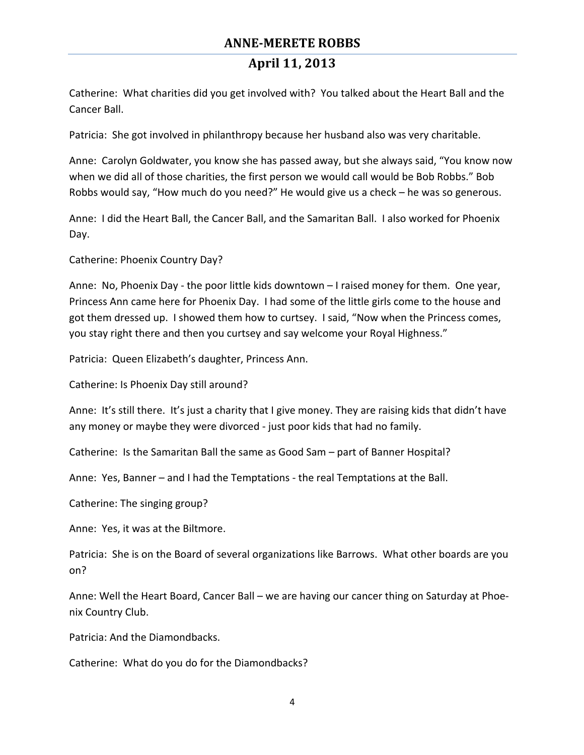## **April 11, 2013**

Catherine: What charities did you get involved with? You talked about the Heart Ball and the Cancer Ball.

Patricia: She got involved in philanthropy because her husband also was very charitable.

Anne: Carolyn Goldwater, you know she has passed away, but she always said, "You know now when we did all of those charities, the first person we would call would be Bob Robbs." Bob Robbs would say, "How much do you need?" He would give us a check  $-$  he was so generous.

Anne: I did the Heart Ball, the Cancer Ball, and the Samaritan Ball. I also worked for Phoenix Day.

Catherine: Phoenix Country Day?

Anne: No, Phoenix Day - the poor little kids downtown – I raised money for them. One year, Princess Ann came here for Phoenix Day. I had some of the little girls come to the house and got them dressed up. I showed them how to curtsey. I said, "Now when the Princess comes, you stay right there and then you curtsey and say welcome your Royal Highness."

Patricia: Queen Elizabeth's daughter, Princess Ann.

Catherine: Is Phoenix Day still around?

Anne: It's still there. It's just a charity that I give money. They are raising kids that didn't have any money or maybe they were divorced - just poor kids that had no family.

Catherine: Is the Samaritan Ball the same as Good Sam – part of Banner Hospital?

Anne: Yes, Banner – and I had the Temptations - the real Temptations at the Ball.

Catherine: The singing group?

Anne: Yes, it was at the Biltmore.

Patricia: She is on the Board of several organizations like Barrows. What other boards are you on?

Anne: Well the Heart Board, Cancer Ball – we are having our cancer thing on Saturday at Phoenix Country Club.

Patricia: And the Diamondbacks.

Catherine: What do you do for the Diamondbacks?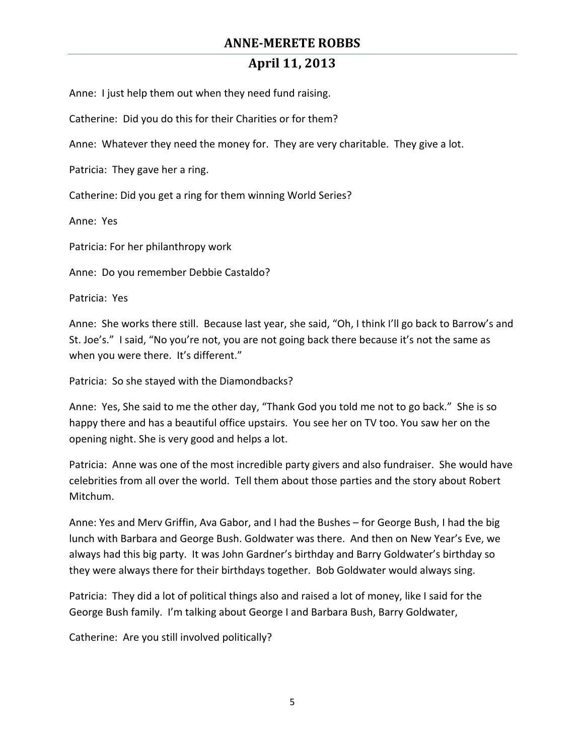## April 11, 2013

Anne: I just help them out when they need fund raising.

Catherine: Did you do this for their Charities or for them?

Anne: Whatever they need the money for. They are very charitable. They give a lot.

Patricia: They gave her a ring.

Catherine: Did you get a ring for them winning World Series?

Anne: Yes

Patricia: For her philanthropy work

Anne: Do you remember Debbie Castaldo?

Patricia: Yes

Anne: She works there still. Because last year, she said, "Oh, I think I'll go back to Barrow's and St. Joe's." I said, "No you're not, you are not going back there because it's not the same as when you were there. It's different."

Patricia: So she stayed with the Diamondbacks?

Anne: Yes, She said to me the other day, "Thank God you told me not to go back." She is so happy there and has a beautiful office upstairs. You see her on TV too. You saw her on the opening night. She is very good and helps a lot.

Patricia: Anne was one of the most incredible party givers and also fundraiser. She would have celebrities from all over the world. Tell them about those parties and the story about Robert Mitchum.

Anne: Yes and Merv Griffin, Ava Gabor, and I had the Bushes – for George Bush, I had the big lunch with Barbara and George Bush. Goldwater was there. And then on New Year's Eve, we always had this big party. It was John Gardner's birthday and Barry Goldwater's birthday so they were always there for their birthdays together. Bob Goldwater would always sing.

Patricia: They did a lot of political things also and raised a lot of money, like I said for the George Bush family. I'm talking about George I and Barbara Bush, Barry Goldwater,

Catherine: Are you still involved politically?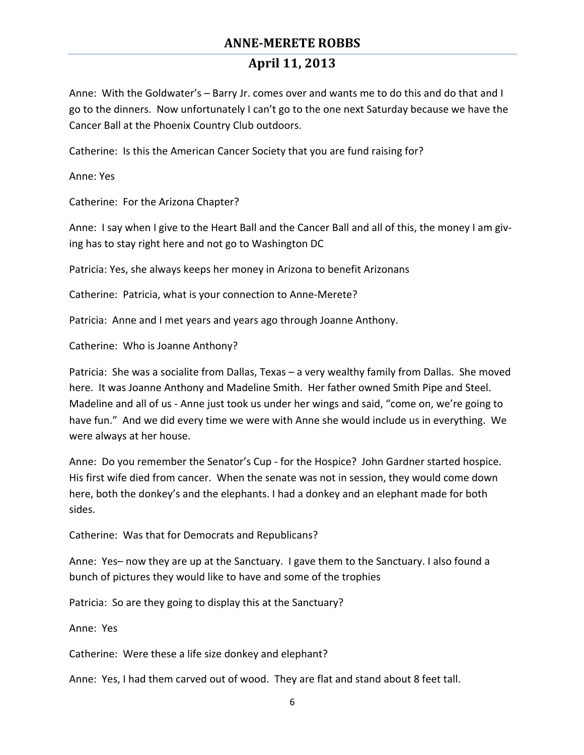## April 11, 2013

Anne: With the Goldwater's - Barry Jr. comes over and wants me to do this and do that and I go to the dinners. Now unfortunately I can't go to the one next Saturday because we have the Cancer Ball at the Phoenix Country Club outdoors.

Catherine: Is this the American Cancer Society that you are fund raising for?

Anne: Yes

Catherine: For the Arizona Chapter?

Anne: I say when I give to the Heart Ball and the Cancer Ball and all of this, the money I am giving has to stay right here and not go to Washington DC

Patricia: Yes, she always keeps her money in Arizona to benefit Arizonans

Catherine: Patricia, what is your connection to Anne-Merete?

Patricia: Anne and I met years and years ago through Joanne Anthony.

Catherine: Who is Joanne Anthony?

Patricia: She was a socialite from Dallas, Texas – a very wealthy family from Dallas. She moved here. It was Joanne Anthony and Madeline Smith. Her father owned Smith Pipe and Steel. Madeline and all of us - Anne just took us under her wings and said, "come on, we're going to have fun." And we did every time we were with Anne she would include us in everything. We were always at her house.

Anne: Do you remember the Senator's Cup - for the Hospice? John Gardner started hospice. His first wife died from cancer. When the senate was not in session, they would come down here, both the donkey's and the elephants. I had a donkey and an elephant made for both sides.

Catherine: Was that for Democrats and Republicans?

Anne: Yes- now they are up at the Sanctuary. I gave them to the Sanctuary. I also found a bunch of pictures they would like to have and some of the trophies

Patricia: So are they going to display this at the Sanctuary?

Anne: Yes

Catherine: Were these a life size donkey and elephant?

Anne: Yes, I had them carved out of wood. They are flat and stand about 8 feet tall.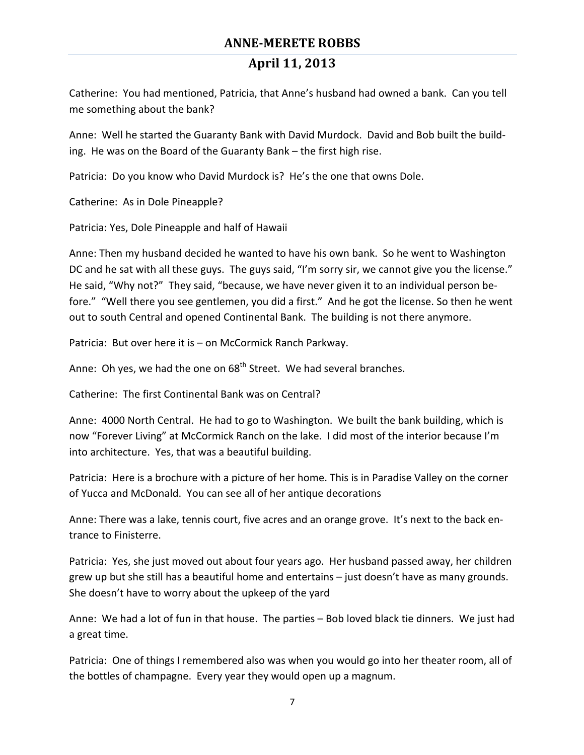## **April 11, 2013**

Catherine: You had mentioned, Patricia, that Anne's husband had owned a bank. Can you tell me something about the bank?

Anne: Well he started the Guaranty Bank with David Murdock. David and Bob built the building. He was on the Board of the Guaranty Bank – the first high rise.

Patricia: Do you know who David Murdock is? He's the one that owns Dole.

Catherine: As in Dole Pineapple?

Patricia: Yes, Dole Pineapple and half of Hawaii

Anne: Then my husband decided he wanted to have his own bank. So he went to Washington DC and he sat with all these guys. The guys said, "I'm sorry sir, we cannot give you the license." He said, "Why not?" They said, "because, we have never given it to an individual person before." "Well there you see gentlemen, you did a first." And he got the license. So then he went out to south Central and opened Continental Bank. The building is not there anymore.

Patricia: But over here it is - on McCormick Ranch Parkway.

Anne: Oh yes, we had the one on  $68<sup>th</sup>$  Street. We had several branches.

Catherine: The first Continental Bank was on Central?

Anne: 4000 North Central. He had to go to Washington. We built the bank building, which is now "Forever Living" at McCormick Ranch on the lake. I did most of the interior because I'm into architecture. Yes, that was a beautiful building.

Patricia: Here is a brochure with a picture of her home. This is in Paradise Valley on the corner of Yucca and McDonald. You can see all of her antique decorations

Anne: There was a lake, tennis court, five acres and an orange grove. It's next to the back entrance to Finisterre.

Patricia: Yes, she just moved out about four years ago. Her husband passed away, her children grew up but she still has a beautiful home and entertains – just doesn't have as many grounds. She doesn't have to worry about the upkeep of the yard

Anne: We had a lot of fun in that house. The parties – Bob loved black tie dinners. We just had a great time.

Patricia: One of things I remembered also was when you would go into her theater room, all of the bottles of champagne. Every year they would open up a magnum.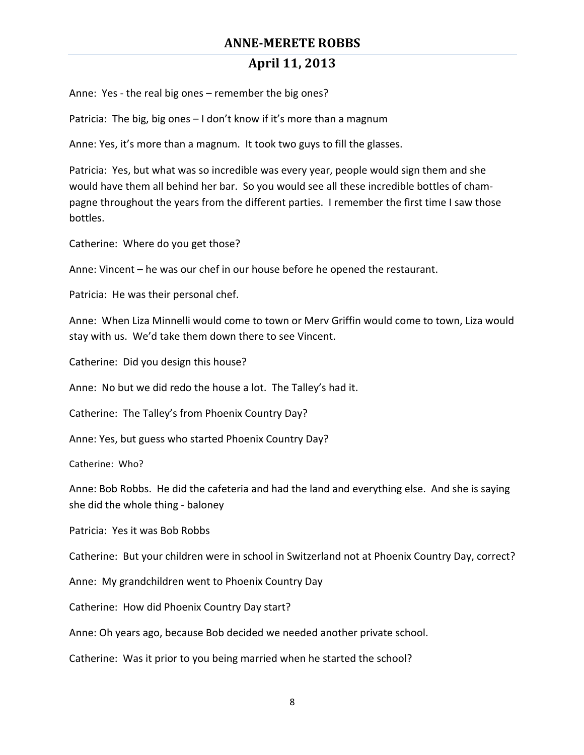## **April 11, 2013**

Anne: Yes - the real big ones  $-$  remember the big ones?

Patricia: The big, big ones  $-1$  don't know if it's more than a magnum

Anne: Yes, it's more than a magnum. It took two guys to fill the glasses.

Patricia: Yes, but what was so incredible was every year, people would sign them and she would have them all behind her bar. So you would see all these incredible bottles of champagne throughout the years from the different parties. I remember the first time I saw those bottles. 

Catherine: Where do you get those?

Anne: Vincent – he was our chef in our house before he opened the restaurant.

Patricia: He was their personal chef.

Anne: When Liza Minnelli would come to town or Merv Griffin would come to town, Liza would stay with us. We'd take them down there to see Vincent.

Catherine: Did you design this house?

Anne: No but we did redo the house a lot. The Talley's had it.

Catherine: The Talley's from Phoenix Country Day?

Anne: Yes, but guess who started Phoenix Country Day?

Catherine: Who?

Anne: Bob Robbs. He did the cafeteria and had the land and everything else. And she is saying she did the whole thing - baloney

Patricia: Yes it was Bob Robbs

Catherine: But your children were in school in Switzerland not at Phoenix Country Day, correct?

Anne: My grandchildren went to Phoenix Country Day

Catherine: How did Phoenix Country Day start?

Anne: Oh years ago, because Bob decided we needed another private school.

Catherine: Was it prior to you being married when he started the school?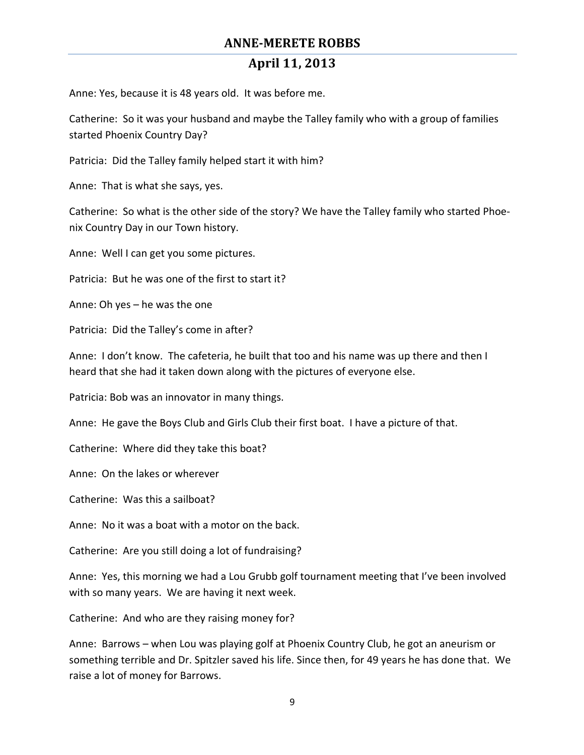#### **April 11, 2013**

Anne: Yes, because it is 48 years old. It was before me.

Catherine: So it was your husband and maybe the Talley family who with a group of families started Phoenix Country Day?

Patricia: Did the Talley family helped start it with him?

Anne: That is what she says, yes.

Catherine: So what is the other side of the story? We have the Talley family who started Phoenix Country Day in our Town history.

Anne: Well I can get you some pictures.

Patricia: But he was one of the first to start it?

Anne: Oh yes  $-$  he was the one

Patricia: Did the Talley's come in after?

Anne: I don't know. The cafeteria, he built that too and his name was up there and then I heard that she had it taken down along with the pictures of everyone else.

Patricia: Bob was an innovator in many things.

Anne: He gave the Boys Club and Girls Club their first boat. I have a picture of that.

Catherine: Where did they take this boat?

Anne: On the lakes or wherever

Catherine: Was this a sailboat?

Anne: No it was a boat with a motor on the back.

Catherine: Are you still doing a lot of fundraising?

Anne: Yes, this morning we had a Lou Grubb golf tournament meeting that I've been involved with so many years. We are having it next week.

Catherine: And who are they raising money for?

Anne: Barrows - when Lou was playing golf at Phoenix Country Club, he got an aneurism or something terrible and Dr. Spitzler saved his life. Since then, for 49 years he has done that. We raise a lot of money for Barrows.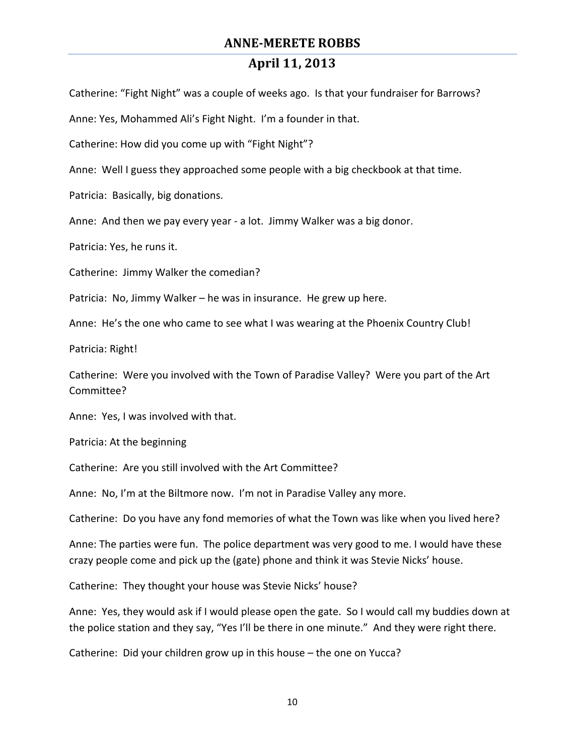## April 11, 2013

Catherine: "Fight Night" was a couple of weeks ago. Is that your fundraiser for Barrows?

Anne: Yes, Mohammed Ali's Fight Night. I'm a founder in that.

Catherine: How did you come up with "Fight Night"?

Anne: Well I guess they approached some people with a big checkbook at that time.

Patricia: Basically, big donations.

Anne: And then we pay every year - a lot. Jimmy Walker was a big donor.

Patricia: Yes, he runs it.

Catherine: Jimmy Walker the comedian?

Patricia: No, Jimmy Walker – he was in insurance. He grew up here.

Anne: He's the one who came to see what I was wearing at the Phoenix Country Club!

Patricia: Right!

Catherine: Were you involved with the Town of Paradise Valley? Were you part of the Art Committee?

Anne: Yes, I was involved with that.

Patricia: At the beginning

Catherine: Are you still involved with the Art Committee?

Anne: No, I'm at the Biltmore now. I'm not in Paradise Valley any more.

Catherine: Do you have any fond memories of what the Town was like when you lived here?

Anne: The parties were fun. The police department was very good to me. I would have these crazy people come and pick up the (gate) phone and think it was Stevie Nicks' house.

Catherine: They thought your house was Stevie Nicks' house?

Anne: Yes, they would ask if I would please open the gate. So I would call my buddies down at the police station and they say, "Yes I'll be there in one minute." And they were right there.

Catherine: Did your children grow up in this house  $-$  the one on Yucca?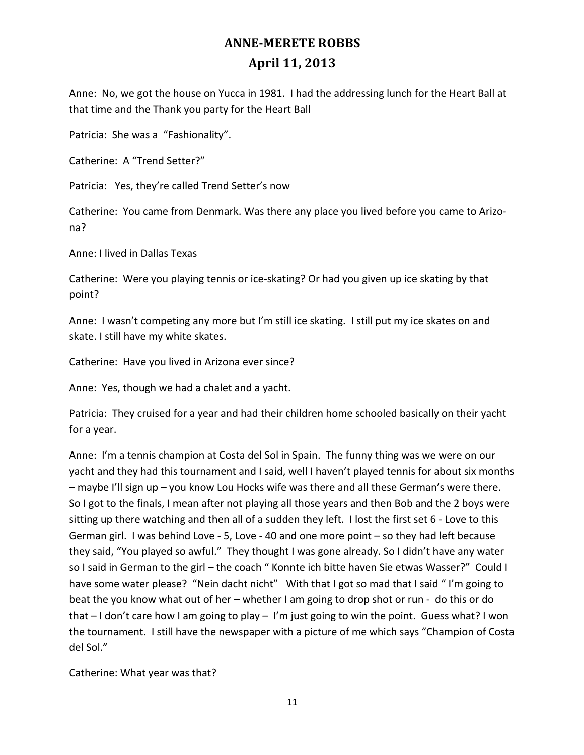# **April 11, 2013**

Anne: No, we got the house on Yucca in 1981. I had the addressing lunch for the Heart Ball at that time and the Thank you party for the Heart Ball

Patricia: She was a "Fashionality".

Catherine: A "Trend Setter?"

Patricia: Yes, they're called Trend Setter's now

Catherine: You came from Denmark. Was there any place you lived before you came to Arizona?

Anne: I lived in Dallas Texas

Catherine: Were you playing tennis or ice-skating? Or had you given up ice skating by that point?

Anne: I wasn't competing any more but I'm still ice skating. I still put my ice skates on and skate. I still have my white skates.

Catherine: Have you lived in Arizona ever since?

Anne: Yes, though we had a chalet and a yacht.

Patricia: They cruised for a year and had their children home schooled basically on their yacht for a year.

Anne: I'm a tennis champion at Costa del Sol in Spain. The funny thing was we were on our yacht and they had this tournament and I said, well I haven't played tennis for about six months - maybe I'll sign up - you know Lou Hocks wife was there and all these German's were there. So I got to the finals, I mean after not playing all those years and then Bob and the 2 boys were sitting up there watching and then all of a sudden they left. I lost the first set  $6$  - Love to this German girl. I was behind Love - 5, Love - 40 and one more point  $-$  so they had left because they said, "You played so awful." They thought I was gone already. So I didn't have any water so I said in German to the girl – the coach " Konnte ich bitte haven Sie etwas Wasser?" Could I have some water please? "Nein dacht nicht" With that I got so mad that I said "I'm going to beat the you know what out of her – whether I am going to drop shot or run - do this or do that  $-1$  don't care how I am going to play  $-1'$ m just going to win the point. Guess what? I won the tournament. I still have the newspaper with a picture of me which says "Champion of Costa del Sol."

Catherine: What year was that?